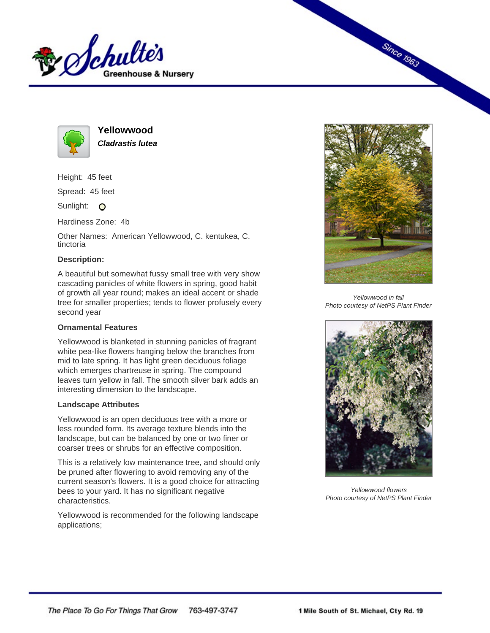



**Yellowwood Cladrastis lutea**

Height: 45 feet

Spread: 45 feet

Sunlight: O

Hardiness Zone: 4b

Other Names: American Yellowwood, C. kentukea, C. tinctoria

## **Description:**

A beautiful but somewhat fussy small tree with very show cascading panicles of white flowers in spring, good habit of growth all year round; makes an ideal accent or shade tree for smaller properties; tends to flower profusely every second year

## **Ornamental Features**

Yellowwood is blanketed in stunning panicles of fragrant white pea-like flowers hanging below the branches from mid to late spring. It has light green deciduous foliage which emerges chartreuse in spring. The compound leaves turn yellow in fall. The smooth silver bark adds an interesting dimension to the landscape.

## **Landscape Attributes**

Yellowwood is an open deciduous tree with a more or less rounded form. Its average texture blends into the landscape, but can be balanced by one or two finer or coarser trees or shrubs for an effective composition.

This is a relatively low maintenance tree, and should only be pruned after flowering to avoid removing any of the current season's flowers. It is a good choice for attracting bees to your yard. It has no significant negative characteristics.

Yellowwood is recommended for the following landscape applications;



**Since 1963** 

Yellowwood in fall Photo courtesy of NetPS Plant Finder



Yellowwood flowers Photo courtesy of NetPS Plant Finder